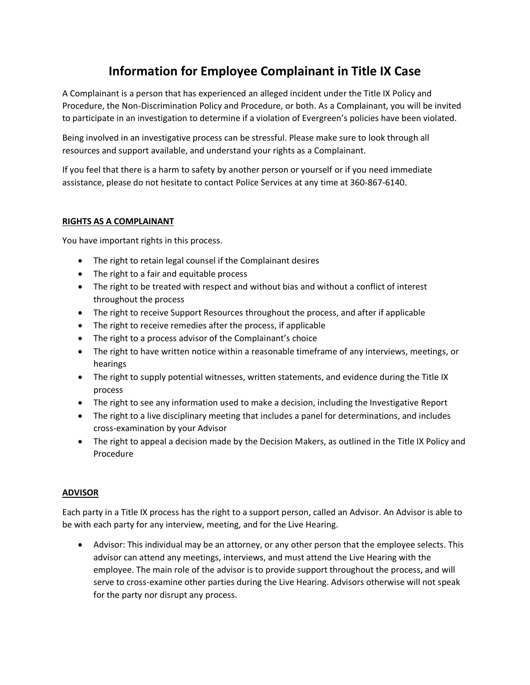# **Information for Employee Complainant in Title IX Case**

A Complainant is a person that has experienced an alleged incident under the Title IX Policy and Procedure, the Non-Discrimination Policy and Procedure, or both. As a Complainant, you will be invited to participate in an investigation to determine if a violation of Evergreen's policies have been violated.

Being involved in an investigative process can be stressful. Please make sure to look through all resources and support available, and understand your rights as a Complainant.

If you feel that there is a harm to safety by another person or yourself or if you need immediate assistance, please do not hesitate to contact Police Services at any time at 360-867-6140.

## **RIGHTS AS A COMPLAINANT**

You have important rights in this process.

- The right to retain legal counsel if the Complainant desires
- The right to a fair and equitable process
- The right to be treated with respect and without bias and without a conflict of interest throughout the process
- The right to receive Support Resources throughout the process, and after if applicable
- The right to receive remedies after the process, if applicable
- The right to a process advisor of the Complainant's choice
- The right to have written notice within a reasonable timeframe of any interviews, meetings, or hearings
- The right to supply potential witnesses, written statements, and evidence during the Title IX process
- The right to see any information used to make a decision, including the Investigative Report
- The right to a live disciplinary meeting that includes a panel for determinations, and includes cross-examination by your Advisor
- The right to appeal a decision made by the Decision Makers, as outlined in the Title IX Policy and Procedure

### **ADVISOR**

Each party in a Title IX process has the right to a support person, called an Advisor. An Advisor is able to be with each party for any interview, meeting, and for the Live Hearing.

 Advisor: This individual may be an attorney, or any other person that the employee selects. This advisor can attend any meetings, interviews, and must attend the Live Hearing with the employee. The main role of the advisor is to provide support throughout the process, and will serve to cross-examine other parties during the Live Hearing. Advisors otherwise will not speak for the party nor disrupt any process.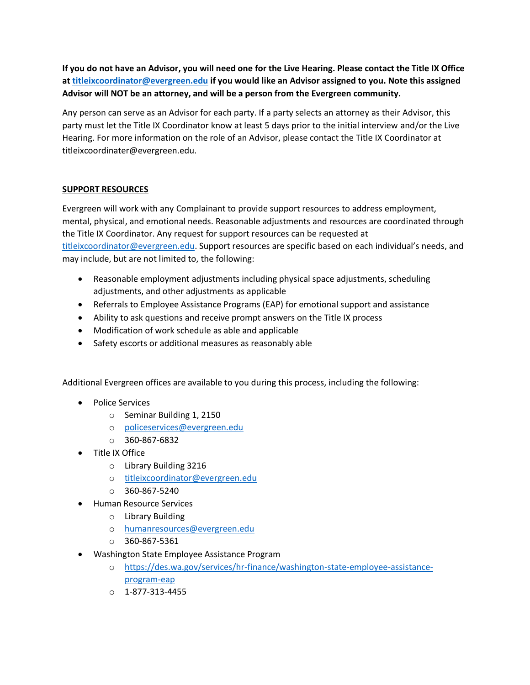**If you do not have an Advisor, you will need one for the Live Hearing. Please contact the Title IX Office a[t titleixcoordinator@evergreen.edu](mailto:titleixcoordinator@evergreen.edu) if you would like an Advisor assigned to you. Note this assigned Advisor will NOT be an attorney, and will be a person from the Evergreen community.**

Any person can serve as an Advisor for each party. If a party selects an attorney as their Advisor, this party must let the Title IX Coordinator know at least 5 days prior to the initial interview and/or the Live Hearing. For more information on the role of an Advisor, please contact the Title IX Coordinator at titleixcoordinater@evergreen.edu.

# **SUPPORT RESOURCES**

Evergreen will work with any Complainant to provide support resources to address employment, mental, physical, and emotional needs. Reasonable adjustments and resources are coordinated through the Title IX Coordinator. Any request for support resources can be requested at [titleixcoordinator@evergreen.edu](mailto:titleixcoordinator@evergreen.edu). Support resources are specific based on each individual's needs, and may include, but are not limited to, the following:

- Reasonable employment adjustments including physical space adjustments, scheduling adjustments, and other adjustments as applicable
- Referrals to Employee Assistance Programs (EAP) for emotional support and assistance
- Ability to ask questions and receive prompt answers on the Title IX process
- Modification of work schedule as able and applicable
- Safety escorts or additional measures as reasonably able

Additional Evergreen offices are available to you during this process, including the following:

- Police Services
	- o Seminar Building 1, 2150
	- o [policeservices@evergreen.edu](mailto:policeservices@evergreen.edu)
	- $O$  360-867-6832
- Title IX Office
	- o Library Building 3216
	- o [titleixcoordinator@evergreen.edu](mailto:titleixcoordinator@evergreen.edu)
	- $O$  360-867-5240
- Human Resource Services
	- o Library Building
	- o [humanresources@evergreen.edu](mailto:advising@evergreen.edu)
	- o 360-867-5361
- Washington State Employee Assistance Program
	- o [https://des.wa.gov/services/hr-finance/washington-state-employee-assistance](https://des.wa.gov/services/hr-finance/washington-state-employee-assistance-program-eap)[program-eap](https://des.wa.gov/services/hr-finance/washington-state-employee-assistance-program-eap)
	- $0.1 877 313 4455$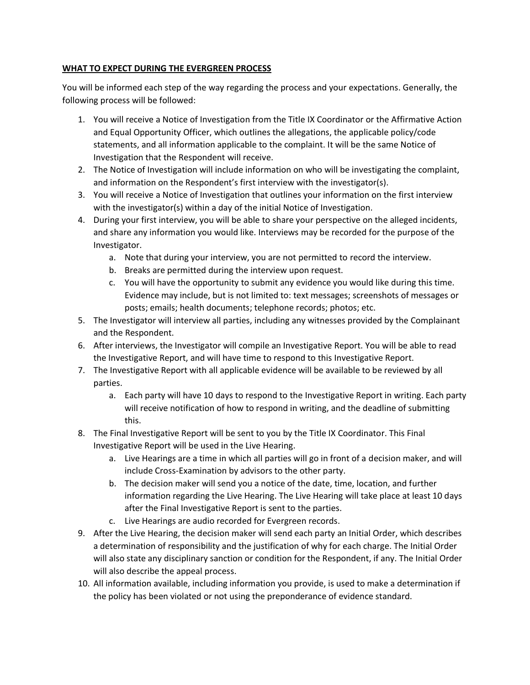# **WHAT TO EXPECT DURING THE EVERGREEN PROCESS**

You will be informed each step of the way regarding the process and your expectations. Generally, the following process will be followed:

- 1. You will receive a Notice of Investigation from the Title IX Coordinator or the Affirmative Action and Equal Opportunity Officer, which outlines the allegations, the applicable policy/code statements, and all information applicable to the complaint. It will be the same Notice of Investigation that the Respondent will receive.
- 2. The Notice of Investigation will include information on who will be investigating the complaint, and information on the Respondent's first interview with the investigator(s).
- 3. You will receive a Notice of Investigation that outlines your information on the first interview with the investigator(s) within a day of the initial Notice of Investigation.
- 4. During your first interview, you will be able to share your perspective on the alleged incidents, and share any information you would like. Interviews may be recorded for the purpose of the Investigator.
	- a. Note that during your interview, you are not permitted to record the interview.
	- b. Breaks are permitted during the interview upon request.
	- c. You will have the opportunity to submit any evidence you would like during this time. Evidence may include, but is not limited to: text messages; screenshots of messages or posts; emails; health documents; telephone records; photos; etc.
- 5. The Investigator will interview all parties, including any witnesses provided by the Complainant and the Respondent.
- 6. After interviews, the Investigator will compile an Investigative Report. You will be able to read the Investigative Report, and will have time to respond to this Investigative Report.
- 7. The Investigative Report with all applicable evidence will be available to be reviewed by all parties.
	- a. Each party will have 10 days to respond to the Investigative Report in writing. Each party will receive notification of how to respond in writing, and the deadline of submitting this.
- 8. The Final Investigative Report will be sent to you by the Title IX Coordinator. This Final Investigative Report will be used in the Live Hearing.
	- a. Live Hearings are a time in which all parties will go in front of a decision maker, and will include Cross-Examination by advisors to the other party.
	- b. The decision maker will send you a notice of the date, time, location, and further information regarding the Live Hearing. The Live Hearing will take place at least 10 days after the Final Investigative Report is sent to the parties.
	- c. Live Hearings are audio recorded for Evergreen records.
- 9. After the Live Hearing, the decision maker will send each party an Initial Order, which describes a determination of responsibility and the justification of why for each charge. The Initial Order will also state any disciplinary sanction or condition for the Respondent, if any. The Initial Order will also describe the appeal process.
- 10. All information available, including information you provide, is used to make a determination if the policy has been violated or not using the preponderance of evidence standard.